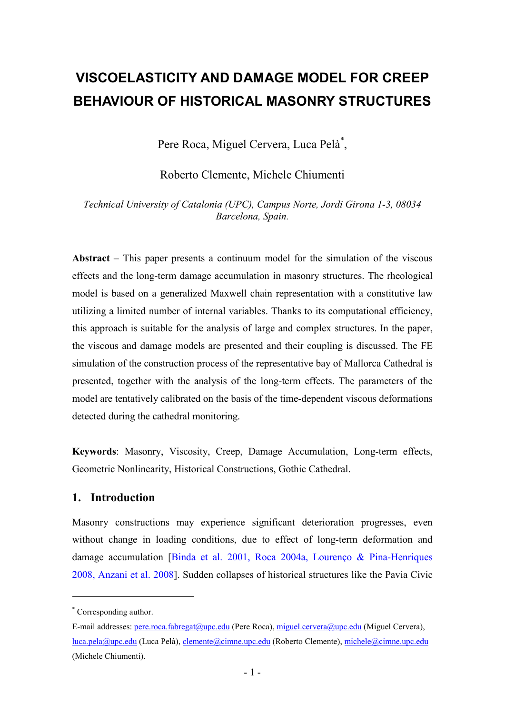# **VISCOELASTICITY AND DAMAGE MODEL FOR CREEP BEHAVIOUR OF HISTORICAL MASONRY STRUCTURES**

Pere Roca, Miguel Cervera, Luca Pelà[\\*](#page-0-0) ,

Roberto Clemente, Michele Chiumenti

*Technical University of Catalonia (UPC), Campus Norte, Jordi Girona 1-3, 08034 Barcelona, Spain.* 

**Abstract** – This paper presents a continuum model for the simulation of the viscous effects and the long-term damage accumulation in masonry structures. The rheological model is based on a generalized Maxwell chain representation with a constitutive law utilizing a limited number of internal variables. Thanks to its computational efficiency, this approach is suitable for the analysis of large and complex structures. In the paper, the viscous and damage models are presented and their coupling is discussed. The FE simulation of the construction process of the representative bay of Mallorca Cathedral is presented, together with the analysis of the long-term effects. The parameters of the model are tentatively calibrated on the basis of the time-dependent viscous deformations detected during the cathedral monitoring.

**Keywords**: Masonry, Viscosity, Creep, Damage Accumulation, Long-term effects, Geometric Nonlinearity, Historical Constructions, Gothic Cathedral.

# **1. Introduction**

Masonry constructions may experience significant deterioration progresses, even without change in loading conditions, due to effect of long-term deformation and damage accumulation [Binda et al. 2001, Roca 2004a, Lourenço & Pina-Henriques 2008, Anzani et al. 2008]. Sudden collapses of historical structures like the Pavia Civic

-

<span id="page-0-0"></span><sup>\*</sup> Corresponding author.

E-mail addresses: pere.roca.fabregat@upc.edu (Pere Roca), miguel.cervera@upc.edu (Miguel Cervera), luca.pela@upc.edu (Luca Pelà), clemente@cimne.upc.edu (Roberto Clemente), michele@cimne.upc.edu (Michele Chiumenti).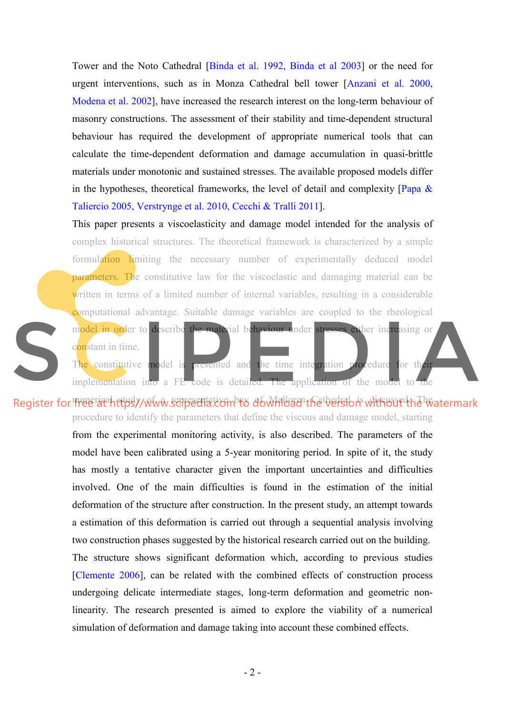Tower and the Noto Cathedral [Binda et al. 1992, Binda et al 2003] or the need for urgent interventions, such as in Monza Cathedral bell tower [Anzani et al. 2000, Modena et al. 2002], have increased the research interest on the long-term behaviour of masonry constructions. The assessment of their stability and time-dependent structural behaviour has required the development of appropriate numerical tools that can calculate the time-dependent deformation and damage accumulation in quasi-brittle materials under monotonic and sustained stresses. The available proposed models differ in the hypotheses, theoretical frameworks, the level of detail and complexity  $\sqrt{Papa \&}$ Taliercio 2005, Verstrynge et al. 2010, Cecchi & Tralli 2011].

This paper presents a viscoelasticity and damage model intended for the analysis of complex historical structures. The theoretical framework is characterized by a simple formulation limiting the necessary number of experimentally deduced model parameters. The constitutive law for the viscoelastic and damaging material can be written in terms of a limited number of internal variables, resulting in a considerable computational advantage. Suitable damage variables are coupled to the rheological model in order to describe the material behaviour under stresses either increasing or constant in time. The constitutive model is presented and the time integration procedure for their implementation into a FE code is detailed. The application of the model to the

Register for The enaththey www.screentation bay of Wallord the best bay without the watermark procedure to identify the parameters that define the viscous and damage model, starting

> from the experimental monitoring activity, is also described. The parameters of the model have been calibrated using a 5-year monitoring period. In spite of it, the study has mostly a tentative character given the important uncertainties and difficulties involved. One of the main difficulties is found in the estimation of the initial deformation of the structure after construction. In the present study, an attempt towards a estimation of this deformation is carried out through a sequential analysis involving two construction phases suggested by the historical research carried out on the building. The structure shows significant deformation which, according to previous studies [Clemente 2006], can be related with the combined effects of construction process undergoing delicate intermediate stages, long-term deformation and geometric nonlinearity. The research presented is aimed to explore the viability of a numerical simulation of deformation and damage taking into account these combined effects.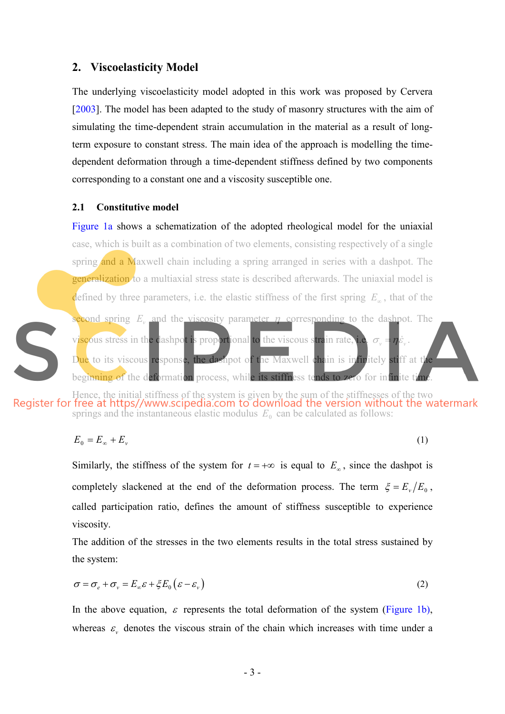## **2. Viscoelasticity Model**

The underlying viscoelasticity model adopted in this work was proposed by Cervera [2003]. The model has been adapted to the study of masonry structures with the aim of simulating the time-dependent strain accumulation in the material as a result of longterm exposure to constant stress. The main idea of the approach is modelling the timedependent deformation through a time-dependent stiffness defined by two components corresponding to a constant one and a viscosity susceptible one.

### **2.1 Constitutive model**

S

Figure 1a shows a schematization of the adopted rheological model for the uniaxial case, which is built as a combination of two elements, consisting respectively of a single spring and a Maxwell chain including a spring arranged in series with a dashpot. The **generalization** to a multiaxial stress state is described afterwards. The uniaxial model is defined by three parameters, i.e. the elastic stiffness of the first spring *E*<sup>∞</sup> , that of the second spring *E<sup>v</sup>* and the viscosity parameter <sup>η</sup> corresponding to the dashpot. The viscous stress in the dashpot is proportional to the viscous strain rate. Due to its viscous response, the dashpot of the Maxwell chain is infinitely stiff at the beginning of the deformation process, while its stiffness tends to zero for infinite time.

Hence, the initial stiffness of the system is given by the sum of the stiffnesses of the two springs and the instantaneous elastic modulus  $E_0$  can be calculated as follows:

$$
E_0 = E_\infty + E_\nu \tag{1}
$$

Similarly, the stiffness of the system for  $t = +\infty$  is equal to  $E_{\infty}$ , since the dashpot is completely slackened at the end of the deformation process. The term  $\xi = E_v/E_0$ , called participation ratio, defines the amount of stiffness susceptible to experience viscosity.

The addition of the stresses in the two elements results in the total stress sustained by the system:

$$
\sigma = \sigma_e + \sigma_v = E_{\infty} \varepsilon + \xi E_0 (\varepsilon - \varepsilon_v)
$$
\n(2)

In the above equation,  $\varepsilon$  represents the total deformation of the system (Figure 1b), whereas  $\varepsilon$ <sub>v</sub> denotes the viscous strain of the chain which increases with time under a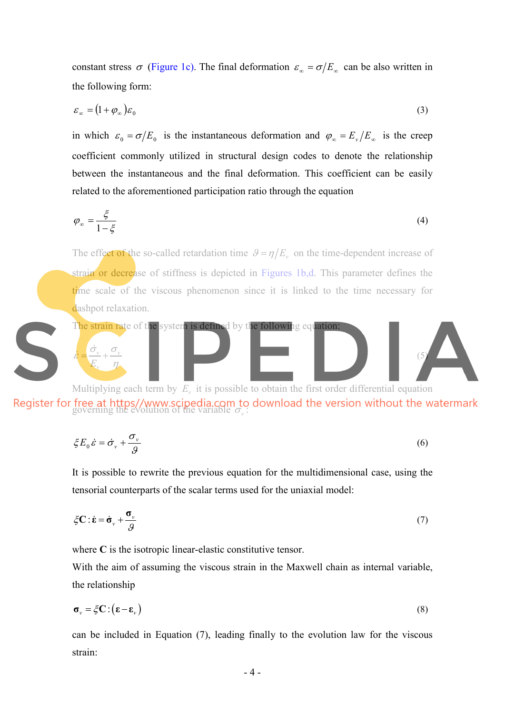constant stress  $\sigma$  (Figure 1c). The final deformation  $\varepsilon_{\infty} = \sigma/E_{\infty}$  can be also written in the following form:

$$
\varepsilon_{\infty} = (1 + \varphi_{\infty}) \varepsilon_0 \tag{3}
$$

in which  $\varepsilon_0 = \sigma/E_0$  is the instantaneous deformation and  $\varphi_{\infty} = E_{\nu}/E_{\infty}$  is the creep coefficient commonly utilized in structural design codes to denote the relationship between the instantaneous and the final deformation. This coefficient can be easily related to the aforementioned participation ratio through the equation

$$
\varphi_{\infty} = \frac{\xi}{1 - \xi} \tag{4}
$$

The effect of the so-called retardation time  $\theta = \eta/E_v$  on the time-dependent increase of strain or decrease of stiffness is depicted in Figures 1b,d. This parameter defines the time scale of the viscous phenomenon since it is linked to the time necessary for dashpot relaxation.



governing the evolution of the variable  $\sigma_{\nu}$ :

$$
\xi E_0 \dot{\varepsilon} = \dot{\sigma}_v + \frac{\sigma_v}{g} \tag{6}
$$

It is possible to rewrite the previous equation for the multidimensional case, using the tensorial counterparts of the scalar terms used for the uniaxial model:

$$
\xi \mathbf{C} : \dot{\mathbf{\varepsilon}} = \dot{\mathbf{\sigma}}_{\nu} + \frac{\mathbf{\sigma}_{\nu}}{g}
$$
 (7)

where **C** is the isotropic linear-elastic constitutive tensor.

With the aim of assuming the viscous strain in the Maxwell chain as internal variable, the relationship

$$
\boldsymbol{\sigma}_{\nu} = \zeta \mathbf{C} : (\boldsymbol{\epsilon} - \boldsymbol{\epsilon}_{\nu})
$$
\n(8)

can be included in Equation (7), leading finally to the evolution law for the viscous strain: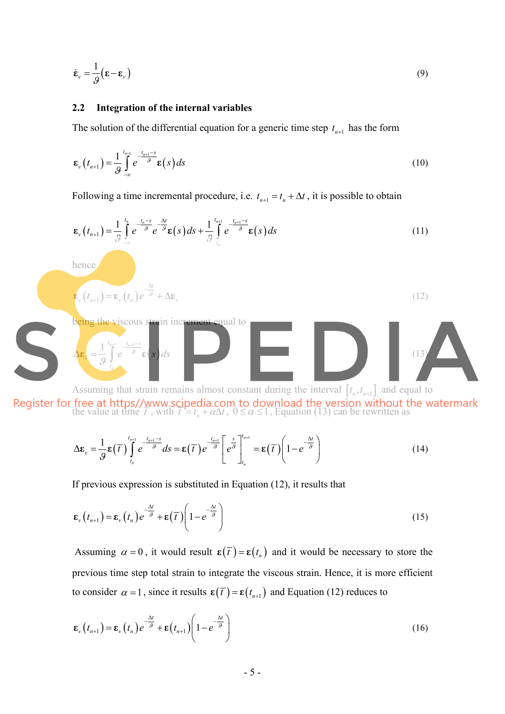$$
\dot{\boldsymbol{\varepsilon}}_{\nu} = \frac{1}{g} (\boldsymbol{\varepsilon} - \boldsymbol{\varepsilon}_{\nu})
$$
\n(9)

### **2.2 Integration of the internal variables**

being the viscous strain increment equal to

 $(s)$ 

*e s ds* <sup>ϑ</sup>

hence

*v*

 $\Delta \varepsilon_v = \frac{1}{Q} \int$ 

 $(t_{n+1}) = \varepsilon_v(t_n) e^{-\frac{\Delta t}{\theta}}$  $v(t_{n+1}) = \varepsilon_v(t_n) e^{-\theta} + \Delta \varepsilon_v$ 

> $1 \int_{0}^{t_{n+1}}$   $-\frac{t_{n+1}}{s}$  $n+1$   $l_n$

 $t_{n+1}$   $t_{n+1}-s$ 

 $_{+1}$   $t_{n+1}$  – −

*n*

*t*

ϑ

The solution of the differential equation for a generic time step  $t_{n+1}$  has the form

$$
\boldsymbol{\varepsilon}_{\nu}\left(t_{n+1}\right) = \frac{1}{g} \int_{-\infty}^{t_{n+1}} e^{-\frac{t_{n+1}-s}{g}} \boldsymbol{\varepsilon}\left(s\right) ds \tag{10}
$$

Following a time incremental procedure, i.e.  $t_{n+1} = t_n + \Delta t$ , it is possible to obtain

$$
\mathbf{\varepsilon}_{\nu}\left(t_{n+1}\right) = \frac{1}{\mathcal{G}}\int\limits_{-\infty}^{t_n} e^{-\frac{t_n - s}{\mathcal{G}}} e^{-\frac{\Delta t}{\mathcal{G}}}\mathbf{\varepsilon}\left(s\right)ds + \frac{1}{\mathcal{G}}\int\limits_{t_n}^{t_{n+1}} e^{-\frac{t_{n+1} - s}{\mathcal{G}}}\mathbf{\varepsilon}\left(s\right)ds\tag{11}
$$

 $\mathbf{\varepsilon}_{v}\left(t_{n+1}\right) = \mathbf{\varepsilon}_{v}\left(t_{n}\right)e^{-\frac{\Delta t}{\theta}} + \Delta \mathbf{\varepsilon}_{v}$  (12)

Assuming that strain remains almost constant during the interval  $[t_n, t_{n+1}]$  and equal to the value at time  $\overline{t}$ , with  $\overline{t} = t_n + \alpha \Delta t$ ,  $0 \le \alpha \le 1$ , Equation (13) can be rewritten as

 $\mathbf{g}_s = \frac{1}{2} \begin{bmatrix} e^{-s} & \varepsilon(s) \, ds \end{bmatrix}$  (13)

$$
\Delta \varepsilon_{v} = \frac{1}{\mathcal{G}} \varepsilon(\overline{\tau}) \int_{t_{n}}^{t_{n+1}} e^{-\frac{t_{n+1}-s}{\mathcal{G}}} ds = \varepsilon(\overline{\tau}) e^{-\frac{t_{n+1}}{\mathcal{G}} \left[ e^{\frac{s}{\mathcal{G}}}\right]_{t_{n}}^{t_{n+1}}} = \varepsilon(\overline{\tau}) \left(1 - e^{-\frac{\Delta t}{\mathcal{G}}}\right)
$$
(14)

If previous expression is substituted in Equation (12), it results that

$$
\boldsymbol{\epsilon}_{\nu}\left(t_{n+1}\right) = \boldsymbol{\epsilon}_{\nu}\left(t_{n}\right)e^{-\frac{\Delta t}{\beta}} + \boldsymbol{\epsilon}\left(\overline{t}\right)\left(1 - e^{-\frac{\Delta t}{\beta}}\right)
$$
\n(15)

Assuming  $\alpha = 0$ , it would result  $\epsilon(\overline{t}) = \epsilon(t_n)$  and it would be necessary to store the previous time step total strain to integrate the viscous strain. Hence, it is more efficient to consider  $\alpha = 1$ , since it results  $\epsilon(\overline{t}) = \epsilon(t_{n+1})$  and Equation (12) reduces to

$$
\boldsymbol{\epsilon}_{\nu}\left(t_{n+1}\right) = \boldsymbol{\epsilon}_{\nu}\left(t_{n}\right)e^{-\frac{\Delta t}{\theta}} + \boldsymbol{\epsilon}\left(t_{n+1}\right)\left(1 - e^{-\frac{\Delta t}{\theta}}\right)
$$
\n(16)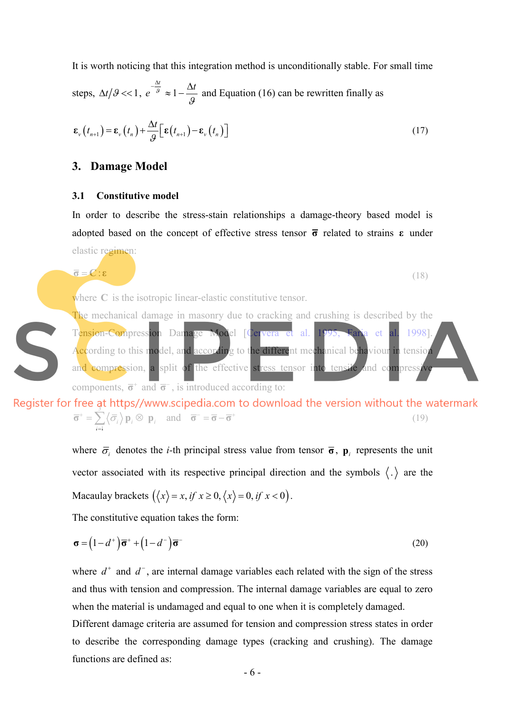It is worth noticing that this integration method is unconditionally stable. For small time

steps, 
$$
\Delta t / \theta \ll 1
$$
,  $e^{-\frac{\Delta t}{\theta}} \approx 1 - \frac{\Delta t}{\theta}$  and Equation (16) can be rewritten finally as

$$
\boldsymbol{\varepsilon}_{v}\left(t_{n+1}\right) = \boldsymbol{\varepsilon}_{v}\left(t_{n}\right) + \frac{\Delta t}{g}\left[\boldsymbol{\varepsilon}\left(t_{n+1}\right) - \boldsymbol{\varepsilon}_{v}\left(t_{n}\right)\right]
$$
\n(17)

## **3. Damage Model**

#### **3.1 Constitutive model**

In order to describe the stress-stain relationships a damage-theory based model is adopted based on the concept of effective stress tensor **σ** related to strains **ε** under elastic regimen:

$$
\overline{\sigma} = \mathbf{C} : \mathbf{\varepsilon} \tag{18}
$$

where **C** is the isotropic linear-elastic constitutive tensor.

The mechanical damage in masonry due to cracking and crushing is described by the Tension-Compression Damage Model [Cervera et al. 1995, Faria et al. 1998]. According to this model, and according to the different mechanical behaviour in tension and compression, a split of the effective stress tensor into tensile and compress components,  $\overline{\sigma}^+$  and  $\overline{\sigma}^-$ , is introduced according to:

Register for free at https//www.scipedia.com to download the version without the watermark 1  $\langle \mathbf{p}_i \otimes \mathbf{p}_i \rangle$  and *i*  $\vec{\sigma}^+ = \sum \langle \vec{\sigma} \rangle$  p.  $\otimes$  p. and  $\vec{\sigma}^- = \vec{\sigma} - \vec{\sigma}^+$  $\overline{\sigma}^+ = \sum_{i=1}^{\infty} \langle \overline{\sigma}_i \rangle \mathbf{p}_i \otimes \mathbf{p}_i \quad \text{and} \quad \overline{\sigma}^- = \overline{\sigma} - \overline{\sigma}^+$  (19)

> where  $\bar{\sigma}$  denotes the *i*-th principal stress value from tensor  $\bar{\sigma}$ ,  $\mathbf{p}_i$  represents the unit vector associated with its respective principal direction and the symbols  $\langle . \rangle$  are the Macaulay brackets  $(\langle x \rangle = x, if x \ge 0, \langle x \rangle = 0, if x < 0)$ .

The constitutive equation takes the form:

$$
\boldsymbol{\sigma} = (1 - d^+) \overline{\boldsymbol{\sigma}}^+ + (1 - d^-) \overline{\boldsymbol{\sigma}}^- \tag{20}
$$

where  $d^+$  and  $d^-$ , are internal damage variables each related with the sign of the stress and thus with tension and compression. The internal damage variables are equal to zero when the material is undamaged and equal to one when it is completely damaged.

Different damage criteria are assumed for tension and compression stress states in order to describe the corresponding damage types (cracking and crushing). The damage functions are defined as: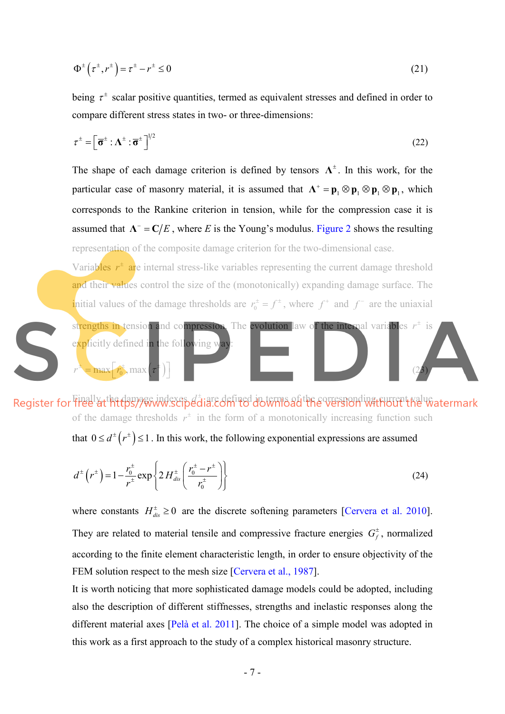$$
\Phi^{\pm}\left(\tau^{\pm},r^{\pm}\right) = \tau^{\pm} - r^{\pm} \le 0\tag{21}
$$

being  $\tau^{\pm}$  scalar positive quantities, termed as equivalent stresses and defined in order to compare different stress states in two- or three-dimensions:

$$
\tau^{\pm} = \left[\overline{\sigma}^{\pm} : \Lambda^{\pm} : \overline{\sigma}^{\pm} \right]^{1/2} \tag{22}
$$

The shape of each damage criterion is defined by tensors  $\Lambda^{\pm}$ . In this work, for the particular case of masonry material, it is assumed that  $\Lambda^+ = p_1 \otimes p_1 \otimes p_1 \otimes p_1$ , which corresponds to the Rankine criterion in tension, while for the compression case it is assumed that  $\Lambda^-$  =  $C/E$ , where *E* is the Young's modulus. Figure 2 shows the resulting representation of the composite damage criterion for the two-dimensional case.

Variables  $r^{\pm}$  are internal stress-like variables representing the current damage threshold and their values control the size of the (monotonically) expanding damage surface. The initial values of the damage thresholds are  $r_0^{\pm} = f^{\pm}$ , where  $f^+$  and  $f^-$  are the uniaxial

strengths in tension and compression. The evolution law of the internal variables  $r^{\pm}$  is explicitly defined in the following way  $r^{\pm} = \max[r_0^{\pm}, \max(r^{\pm})]$  (23)

Finally, the damage indexes *d*<sup>+</sup> are defined in terms of the corresponding surrent nalue. of the damage thresholds  $r^{\pm}$  in the form of a monotonically increasing function such

that  $0 \le d^{\pm}(r^{\pm}) \le 1$ . In this work, the following exponential expressions are assumed

$$
d^{\pm}\left(r^{\pm}\right) = 1 - \frac{r_0^{\pm}}{r^{\pm}} \exp\left\{2 H^{\pm}_{dis} \left(\frac{r_0^{\pm} - r^{\pm}}{r_0^{\pm}}\right)\right\} \tag{24}
$$

where constants  $H_{dis}^{\pm} \ge 0$  are the discrete softening parameters [Cervera et al. 2010]. They are related to material tensile and compressive fracture energies  $G_f^{\pm}$ , normalized according to the finite element characteristic length, in order to ensure objectivity of the FEM solution respect to the mesh size [Cervera et al., 1987].

It is worth noticing that more sophisticated damage models could be adopted, including also the description of different stiffnesses, strengths and inelastic responses along the different material axes [Pelà et al. 2011]. The choice of a simple model was adopted in this work as a first approach to the study of a complex historical masonry structure.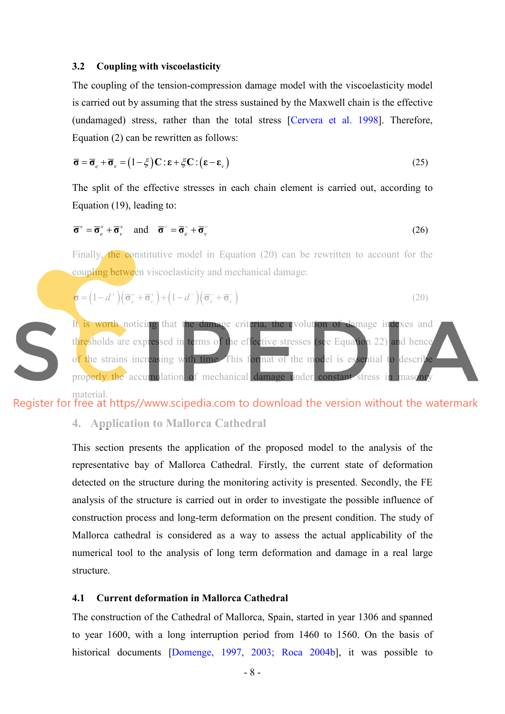#### **3.2 Coupling with viscoelasticity**

The coupling of the tension-compression damage model with the viscoelasticity model is carried out by assuming that the stress sustained by the Maxwell chain is the effective (undamaged) stress, rather than the total stress [Cervera et al. 1998]. Therefore, Equation (2) can be rewritten as follows:

$$
\overline{\sigma} = \overline{\sigma}_e + \overline{\sigma}_v = (1 - \xi) \mathbf{C} : \mathbf{\varepsilon} + \xi \mathbf{C} : (\mathbf{\varepsilon} - \mathbf{\varepsilon}_v)
$$
(25)

The split of the effective stresses in each chain element is carried out, according to Equation (19), leading to:

$$
\overline{\sigma}^+ = \overline{\sigma}_e^+ + \overline{\sigma}_v^+ \quad \text{and} \quad \overline{\sigma}^- = \overline{\sigma}_e^- + \overline{\sigma}_v^- \tag{26}
$$

Finally, the constitutive model in Equation (20) can be rewritten to account for the coupling between viscoelasticity and mechanical damage:

$$
\boldsymbol{\sigma} = (1 - d^+) \left( \overline{\boldsymbol{\sigma}}_e^+ + \overline{\boldsymbol{\sigma}}_v^+ \right) + (1 - d^-) \left( \overline{\boldsymbol{\sigma}}_e^- + \overline{\boldsymbol{\sigma}}_v^- \right)
$$
(20)



material.<br>Register for free at https//www.scipedia.com to download the version without the watermark

# **4. Application to Mallorca Cathedral**

This section presents the application of the proposed model to the analysis of the representative bay of Mallorca Cathedral. Firstly, the current state of deformation detected on the structure during the monitoring activity is presented. Secondly, the FE analysis of the structure is carried out in order to investigate the possible influence of construction process and long-term deformation on the present condition. The study of Mallorca cathedral is considered as a way to assess the actual applicability of the numerical tool to the analysis of long term deformation and damage in a real large structure.

## **4.1 Current deformation in Mallorca Cathedral**

The construction of the Cathedral of Mallorca, Spain, started in year 1306 and spanned to year 1600, with a long interruption period from 1460 to 1560. On the basis of historical documents [Domenge, 1997, 2003; Roca 2004b], it was possible to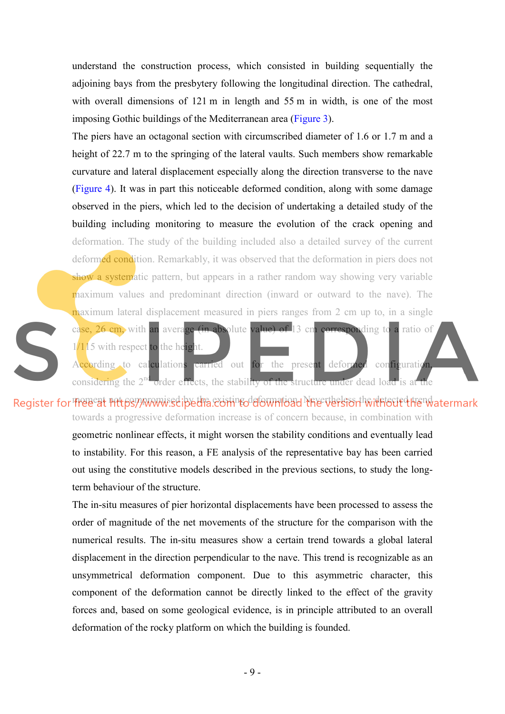understand the construction process, which consisted in building sequentially the adjoining bays from the presbytery following the longitudinal direction. The cathedral, with overall dimensions of 121 m in length and 55 m in width, is one of the most imposing Gothic buildings of the Mediterranean area (Figure 3).

The piers have an octagonal section with circumscribed diameter of 1.6 or 1.7 m and a height of 22.7 m to the springing of the lateral vaults. Such members show remarkable curvature and lateral displacement especially along the direction transverse to the nave (Figure 4). It was in part this noticeable deformed condition, along with some damage observed in the piers, which led to the decision of undertaking a detailed study of the building including monitoring to measure the evolution of the crack opening and deformation. The study of the building included also a detailed survey of the current deformed condition. Remarkably, it was observed that the deformation in piers does not show a systematic pattern, but appears in a rather random way showing very variable maximum values and predominant direction (inward or outward to the nave). The maximum lateral displacement measured in piers ranges from 2 cm up to, in a single case, 26 cm, with an average (in absolute value) of 13 cm corresponding to a ratio of

1/115 with respect to the height.

According to calculations carried out for the present deformed configuration considering the 2<sup>nd</sup> order effects, the stability of the structure under dead load is at the

Register for Free at Put6syy www.seibedia. Soming deformational Nevertheless the interfected the nu atermark towards a progressive deformation increase is of concern because, in combination with

> geometric nonlinear effects, it might worsen the stability conditions and eventually lead to instability. For this reason, a FE analysis of the representative bay has been carried out using the constitutive models described in the previous sections, to study the longterm behaviour of the structure.

> The in-situ measures of pier horizontal displacements have been processed to assess the order of magnitude of the net movements of the structure for the comparison with the numerical results. The in-situ measures show a certain trend towards a global lateral displacement in the direction perpendicular to the nave. This trend is recognizable as an unsymmetrical deformation component. Due to this asymmetric character, this component of the deformation cannot be directly linked to the effect of the gravity forces and, based on some geological evidence, is in principle attributed to an overall deformation of the rocky platform on which the building is founded.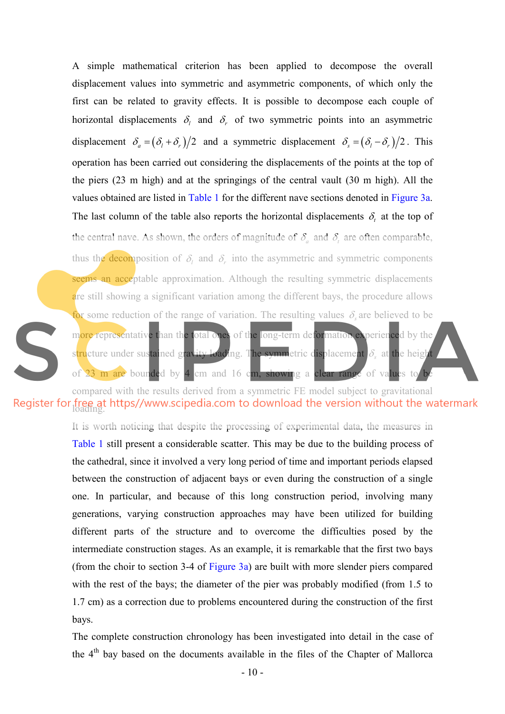A simple mathematical criterion has been applied to decompose the overall displacement values into symmetric and asymmetric components, of which only the first can be related to gravity effects. It is possible to decompose each couple of horizontal displacements  $\delta_l$  and  $\delta_r$  of two symmetric points into an asymmetric displacement  $\delta_a = (\delta_l + \delta_r)/2$  and a symmetric displacement  $\delta_s = (\delta_l - \delta_r)/2$ . This operation has been carried out considering the displacements of the points at the top of the piers (23 m high) and at the springings of the central vault (30 m high). All the values obtained are listed in Table 1 for the different nave sections denoted in Figure 3a. The last column of the table also reports the horizontal displacements  $\delta$ , at the top of the central nave. As shown, the orders of magnitude of  $\delta_a$  and  $\delta_t$  are often comparable, thus the **decom** position of  $\delta_l$  and  $\delta_r$  into the asymmetric and symmetric components seems an acceptable approximation. Although the resulting symmetric displacements are still showing a significant variation among the different bays, the procedure allows for some reduction of the range of variation. The resulting values  $\delta_s$  are believed to be more representative than the total ones of the long-term deformation experienced by the structure under sustained gravity loading. The symmetric displacement δ, at the height of 23 m are bounded by 4 cm and 16 cm, showing a clear range of values to be

compared with the results derived from a symmetric FE model subject to gravitational Register for free at https//www.scipedia.com to download the version without the watermark

> It is worth noticing that despite the processing of experimental data, the measures in Table 1 still present a considerable scatter. This may be due to the building process of the cathedral, since it involved a very long period of time and important periods elapsed between the construction of adjacent bays or even during the construction of a single one. In particular, and because of this long construction period, involving many generations, varying construction approaches may have been utilized for building different parts of the structure and to overcome the difficulties posed by the intermediate construction stages. As an example, it is remarkable that the first two bays (from the choir to section 3-4 of Figure 3a) are built with more slender piers compared with the rest of the bays; the diameter of the pier was probably modified (from 1.5 to 1.7 cm) as a correction due to problems encountered during the construction of the first bays.

> The complete construction chronology has been investigated into detail in the case of the  $4<sup>th</sup>$  bay based on the documents available in the files of the Chapter of Mallorca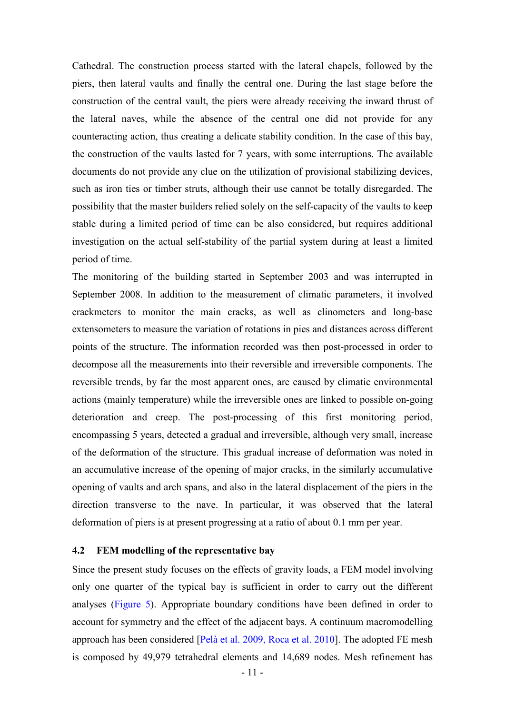Cathedral. The construction process started with the lateral chapels, followed by the piers, then lateral vaults and finally the central one. During the last stage before the construction of the central vault, the piers were already receiving the inward thrust of the lateral naves, while the absence of the central one did not provide for any counteracting action, thus creating a delicate stability condition. In the case of this bay, the construction of the vaults lasted for 7 years, with some interruptions. The available documents do not provide any clue on the utilization of provisional stabilizing devices, such as iron ties or timber struts, although their use cannot be totally disregarded. The possibility that the master builders relied solely on the self-capacity of the vaults to keep stable during a limited period of time can be also considered, but requires additional investigation on the actual self-stability of the partial system during at least a limited period of time.

The monitoring of the building started in September 2003 and was interrupted in September 2008. In addition to the measurement of climatic parameters, it involved crackmeters to monitor the main cracks, as well as clinometers and long-base extensometers to measure the variation of rotations in pies and distances across different points of the structure. The information recorded was then post-processed in order to decompose all the measurements into their reversible and irreversible components. The reversible trends, by far the most apparent ones, are caused by climatic environmental actions (mainly temperature) while the irreversible ones are linked to possible on-going deterioration and creep. The post-processing of this first monitoring period, encompassing 5 years, detected a gradual and irreversible, although very small, increase of the deformation of the structure. This gradual increase of deformation was noted in an accumulative increase of the opening of major cracks, in the similarly accumulative opening of vaults and arch spans, and also in the lateral displacement of the piers in the direction transverse to the nave. In particular, it was observed that the lateral deformation of piers is at present progressing at a ratio of about 0.1 mm per year.

#### **4.2 FEM modelling of the representative bay**

Since the present study focuses on the effects of gravity loads, a FEM model involving only one quarter of the typical bay is sufficient in order to carry out the different analyses (Figure 5). Appropriate boundary conditions have been defined in order to account for symmetry and the effect of the adjacent bays. A continuum macromodelling approach has been considered [Pelà et al. 2009, Roca et al. 2010]. The adopted FE mesh is composed by 49,979 tetrahedral elements and 14,689 nodes. Mesh refinement has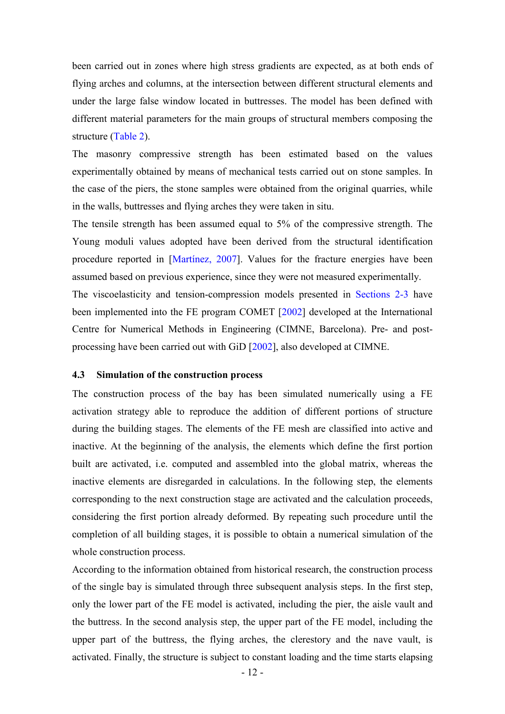been carried out in zones where high stress gradients are expected, as at both ends of flying arches and columns, at the intersection between different structural elements and under the large false window located in buttresses. The model has been defined with different material parameters for the main groups of structural members composing the structure (Table 2).

The masonry compressive strength has been estimated based on the values experimentally obtained by means of mechanical tests carried out on stone samples. In the case of the piers, the stone samples were obtained from the original quarries, while in the walls, buttresses and flying arches they were taken in situ.

The tensile strength has been assumed equal to 5% of the compressive strength. The Young moduli values adopted have been derived from the structural identification procedure reported in [Martínez, 2007]. Values for the fracture energies have been assumed based on previous experience, since they were not measured experimentally.

The viscoelasticity and tension-compression models presented in Sections 2-3 have been implemented into the FE program COMET [2002] developed at the International Centre for Numerical Methods in Engineering (CIMNE, Barcelona). Pre- and postprocessing have been carried out with GiD [2002], also developed at CIMNE.

### **4.3 Simulation of the construction process**

The construction process of the bay has been simulated numerically using a FE activation strategy able to reproduce the addition of different portions of structure during the building stages. The elements of the FE mesh are classified into active and inactive. At the beginning of the analysis, the elements which define the first portion built are activated, i.e. computed and assembled into the global matrix, whereas the inactive elements are disregarded in calculations. In the following step, the elements corresponding to the next construction stage are activated and the calculation proceeds, considering the first portion already deformed. By repeating such procedure until the completion of all building stages, it is possible to obtain a numerical simulation of the whole construction process.

According to the information obtained from historical research, the construction process of the single bay is simulated through three subsequent analysis steps. In the first step, only the lower part of the FE model is activated, including the pier, the aisle vault and the buttress. In the second analysis step, the upper part of the FE model, including the upper part of the buttress, the flying arches, the clerestory and the nave vault, is activated. Finally, the structure is subject to constant loading and the time starts elapsing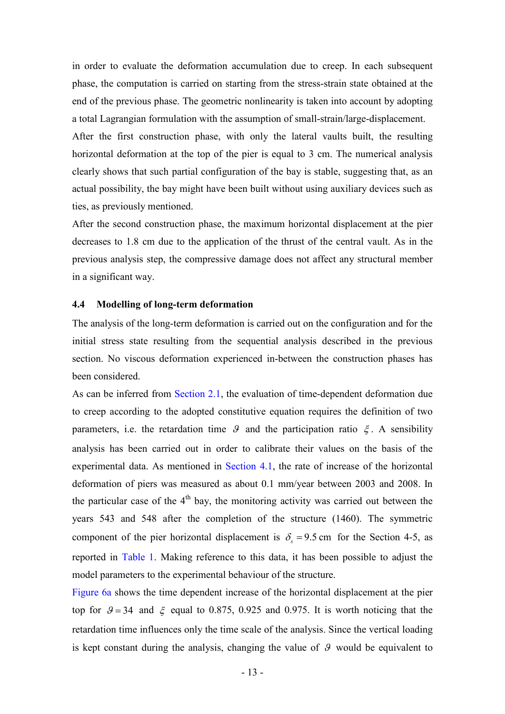in order to evaluate the deformation accumulation due to creep. In each subsequent phase, the computation is carried on starting from the stress-strain state obtained at the end of the previous phase. The geometric nonlinearity is taken into account by adopting a total Lagrangian formulation with the assumption of small-strain/large-displacement.

After the first construction phase, with only the lateral vaults built, the resulting horizontal deformation at the top of the pier is equal to 3 cm. The numerical analysis clearly shows that such partial configuration of the bay is stable, suggesting that, as an actual possibility, the bay might have been built without using auxiliary devices such as ties, as previously mentioned.

After the second construction phase, the maximum horizontal displacement at the pier decreases to 1.8 cm due to the application of the thrust of the central vault. As in the previous analysis step, the compressive damage does not affect any structural member in a significant way.

#### **4.4 Modelling of long-term deformation**

The analysis of the long-term deformation is carried out on the configuration and for the initial stress state resulting from the sequential analysis described in the previous section. No viscous deformation experienced in-between the construction phases has been considered.

As can be inferred from Section 2.1, the evaluation of time-dependent deformation due to creep according to the adopted constitutive equation requires the definition of two parameters, i.e. the retardation time  $\theta$  and the participation ratio  $\xi$ . A sensibility analysis has been carried out in order to calibrate their values on the basis of the experimental data. As mentioned in Section 4.1, the rate of increase of the horizontal deformation of piers was measured as about 0.1 mm/year between 2003 and 2008. In the particular case of the  $4<sup>th</sup>$  bay, the monitoring activity was carried out between the years 543 and 548 after the completion of the structure (1460). The symmetric component of the pier horizontal displacement is  $\delta_z = 9.5$  cm for the Section 4-5, as reported in Table 1. Making reference to this data, it has been possible to adjust the model parameters to the experimental behaviour of the structure.

Figure 6a shows the time dependent increase of the horizontal displacement at the pier top for  $\theta = 34$  and  $\xi$  equal to 0.875, 0.925 and 0.975. It is worth noticing that the retardation time influences only the time scale of the analysis. Since the vertical loading is kept constant during the analysis, changing the value of  $\mathcal{G}$  would be equivalent to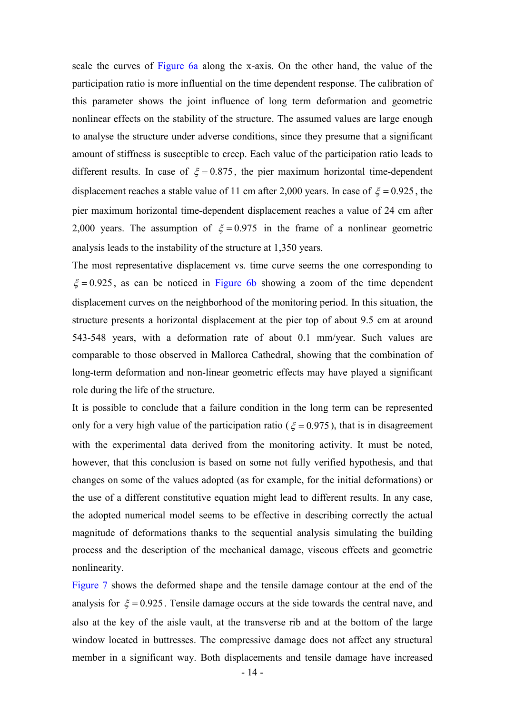scale the curves of Figure 6a along the x-axis. On the other hand, the value of the participation ratio is more influential on the time dependent response. The calibration of this parameter shows the joint influence of long term deformation and geometric nonlinear effects on the stability of the structure. The assumed values are large enough to analyse the structure under adverse conditions, since they presume that a significant amount of stiffness is susceptible to creep. Each value of the participation ratio leads to different results. In case of  $\xi = 0.875$ , the pier maximum horizontal time-dependent displacement reaches a stable value of 11 cm after 2,000 years. In case of  $\xi = 0.925$ , the pier maximum horizontal time-dependent displacement reaches a value of 24 cm after 2,000 years. The assumption of  $\xi = 0.975$  in the frame of a nonlinear geometric analysis leads to the instability of the structure at 1,350 years.

The most representative displacement vs. time curve seems the one corresponding to  $\xi = 0.925$ , as can be noticed in Figure 6b showing a zoom of the time dependent displacement curves on the neighborhood of the monitoring period. In this situation, the structure presents a horizontal displacement at the pier top of about 9.5 cm at around 543-548 years, with a deformation rate of about 0.1 mm/year. Such values are comparable to those observed in Mallorca Cathedral, showing that the combination of long-term deformation and non-linear geometric effects may have played a significant role during the life of the structure.

It is possible to conclude that a failure condition in the long term can be represented only for a very high value of the participation ratio ( $\xi = 0.975$ ), that is in disagreement with the experimental data derived from the monitoring activity. It must be noted, however, that this conclusion is based on some not fully verified hypothesis, and that changes on some of the values adopted (as for example, for the initial deformations) or the use of a different constitutive equation might lead to different results. In any case, the adopted numerical model seems to be effective in describing correctly the actual magnitude of deformations thanks to the sequential analysis simulating the building process and the description of the mechanical damage, viscous effects and geometric nonlinearity.

Figure 7 shows the deformed shape and the tensile damage contour at the end of the analysis for  $\xi = 0.925$ . Tensile damage occurs at the side towards the central nave, and also at the key of the aisle vault, at the transverse rib and at the bottom of the large window located in buttresses. The compressive damage does not affect any structural member in a significant way. Both displacements and tensile damage have increased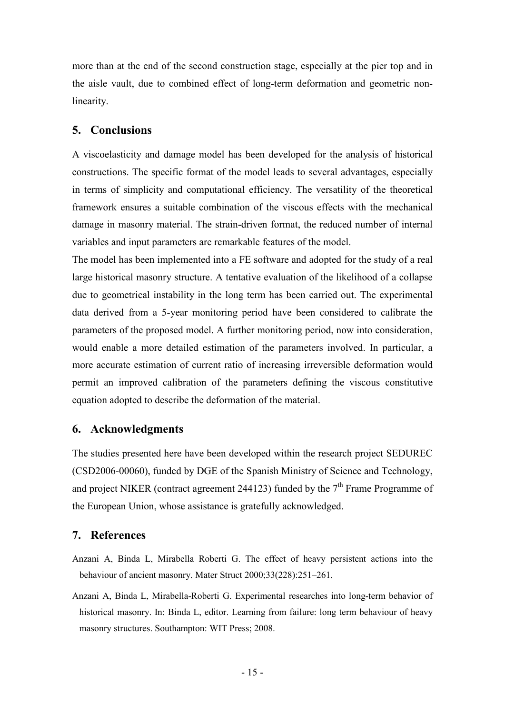more than at the end of the second construction stage, especially at the pier top and in the aisle vault, due to combined effect of long-term deformation and geometric nonlinearity.

# **5. Conclusions**

A viscoelasticity and damage model has been developed for the analysis of historical constructions. The specific format of the model leads to several advantages, especially in terms of simplicity and computational efficiency. The versatility of the theoretical framework ensures a suitable combination of the viscous effects with the mechanical damage in masonry material. The strain-driven format, the reduced number of internal variables and input parameters are remarkable features of the model.

The model has been implemented into a FE software and adopted for the study of a real large historical masonry structure. A tentative evaluation of the likelihood of a collapse due to geometrical instability in the long term has been carried out. The experimental data derived from a 5-year monitoring period have been considered to calibrate the parameters of the proposed model. A further monitoring period, now into consideration, would enable a more detailed estimation of the parameters involved. In particular, a more accurate estimation of current ratio of increasing irreversible deformation would permit an improved calibration of the parameters defining the viscous constitutive equation adopted to describe the deformation of the material.

# **6. Acknowledgments**

The studies presented here have been developed within the research project SEDUREC (CSD2006-00060), funded by DGE of the Spanish Ministry of Science and Technology, and project NIKER (contract agreement 244123) funded by the  $7<sup>th</sup>$  Frame Programme of the European Union, whose assistance is gratefully acknowledged.

# **7. References**

- Anzani A, Binda L, Mirabella Roberti G. The effect of heavy persistent actions into the behaviour of ancient masonry. Mater Struct 2000;33(228):251–261.
- Anzani A, Binda L, Mirabella-Roberti G. Experimental researches into long-term behavior of historical masonry. In: Binda L, editor. Learning from failure: long term behaviour of heavy masonry structures. Southampton: WIT Press; 2008.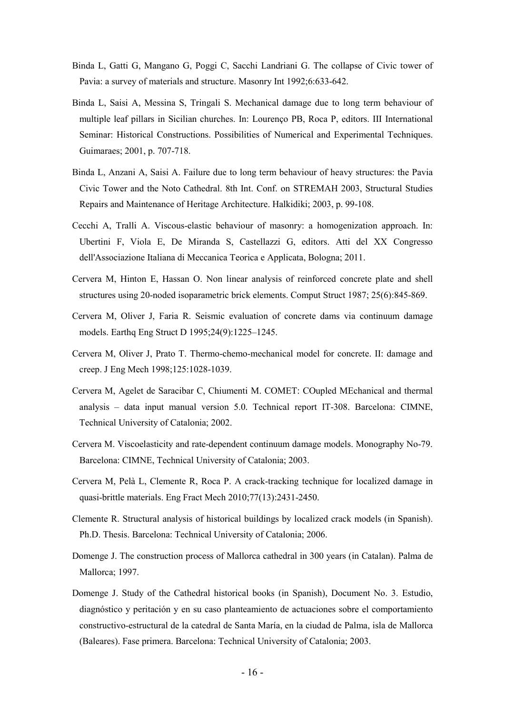- Binda L, Gatti G, Mangano G, Poggi C, Sacchi Landriani G. The collapse of Civic tower of Pavia: a survey of materials and structure. Masonry Int 1992;6:633-642.
- Binda L, Saisi A, Messina S, Tringali S. Mechanical damage due to long term behaviour of multiple leaf pillars in Sicilian churches. In: Lourenço PB, Roca P, editors. III International Seminar: Historical Constructions. Possibilities of Numerical and Experimental Techniques. Guimaraes; 2001, p. 707-718.
- Binda L, Anzani A, Saisi A. Failure due to long term behaviour of heavy structures: the Pavia Civic Tower and the Noto Cathedral. 8th Int. Conf. on STREMAH 2003, Structural Studies Repairs and Maintenance of Heritage Architecture. Halkidiki; 2003, p. 99-108.
- Cecchi A, Tralli A. Viscous-elastic behaviour of masonry: a homogenization approach. In: Ubertini F, Viola E, De Miranda S, Castellazzi G, editors. Atti del XX Congresso dell'Associazione Italiana di Meccanica Teorica e Applicata, Bologna; 2011.
- Cervera M, Hinton E, Hassan O. Non linear analysis of reinforced concrete plate and shell structures using 20-noded isoparametric brick elements. Comput Struct 1987; 25(6):845-869.
- Cervera M, Oliver J, Faria R. Seismic evaluation of concrete dams via continuum damage models. Earthq Eng Struct D 1995;24(9):1225–1245.
- Cervera M, Oliver J, Prato T. Thermo-chemo-mechanical model for concrete. II: damage and creep. J Eng Mech 1998;125:1028-1039.
- Cervera M, Agelet de Saracibar C, Chiumenti M. COMET: COupled MEchanical and thermal analysis – data input manual version 5.0. Technical report IT-308. Barcelona: CIMNE, Technical University of Catalonia; 2002.
- Cervera M. Viscoelasticity and rate-dependent continuum damage models. Monography No-79. Barcelona: CIMNE, Technical University of Catalonia; 2003.
- Cervera M, Pelà L, Clemente R, Roca P. A crack-tracking technique for localized damage in quasi-brittle materials. Eng Fract Mech 2010;77(13):2431-2450.
- Clemente R. Structural analysis of historical buildings by localized crack models (in Spanish). Ph.D. Thesis. Barcelona: Technical University of Catalonia; 2006.
- Domenge J. The construction process of Mallorca cathedral in 300 years (in Catalan). Palma de Mallorca; 1997.
- Domenge J. Study of the Cathedral historical books (in Spanish), Document No. 3. Estudio, diagnóstico y peritación y en su caso planteamiento de actuaciones sobre el comportamiento constructivo-estructural de la catedral de Santa María, en la ciudad de Palma, isla de Mallorca (Baleares). Fase primera. Barcelona: Technical University of Catalonia; 2003.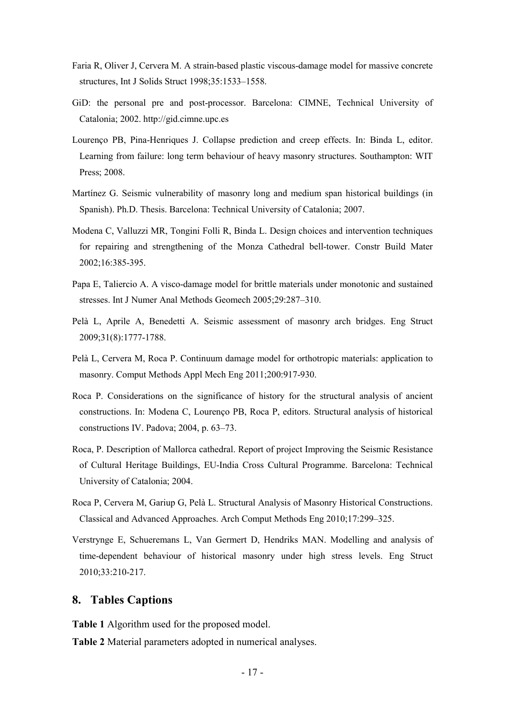- Faria R, Oliver J, Cervera M. A strain-based plastic viscous-damage model for massive concrete structures, Int J Solids Struct 1998;35:1533–1558.
- GiD: the personal pre and post-processor. Barcelona: CIMNE, Technical University of Catalonia; 2002. http://gid.cimne.upc.es
- Lourenço PB, Pina-Henriques J. Collapse prediction and creep effects. In: Binda L, editor. Learning from failure: long term behaviour of heavy masonry structures. Southampton: WIT Press; 2008.
- Martínez G. Seismic vulnerability of masonry long and medium span historical buildings (in Spanish). Ph.D. Thesis. Barcelona: Technical University of Catalonia; 2007.
- Modena C, Valluzzi MR, Tongini Folli R, Binda L. Design choices and intervention techniques for repairing and strengthening of the Monza Cathedral bell-tower. Constr Build Mater 2002;16:385-395.
- Papa E, Taliercio A. A visco-damage model for brittle materials under monotonic and sustained stresses. Int J Numer Anal Methods Geomech 2005;29:287–310.
- Pelà L, Aprile A, Benedetti A. Seismic assessment of masonry arch bridges. Eng Struct 2009;31(8):1777-1788.
- Pelà L, Cervera M, Roca P. Continuum damage model for orthotropic materials: application to masonry. Comput Methods Appl Mech Eng 2011;200:917-930.
- Roca P. Considerations on the significance of history for the structural analysis of ancient constructions. In: Modena C, Lourenço PB, Roca P, editors. Structural analysis of historical constructions IV. Padova; 2004, p. 63–73.
- Roca, P. Description of Mallorca cathedral. Report of project Improving the Seismic Resistance of Cultural Heritage Buildings, EU-India Cross Cultural Programme. Barcelona: Technical University of Catalonia; 2004.
- Roca P, Cervera M, Gariup G, Pelà L. Structural Analysis of Masonry Historical Constructions. Classical and Advanced Approaches. Arch Comput Methods Eng 2010;17:299–325.
- Verstrynge E, Schueremans L, Van Germert D, Hendriks MAN. Modelling and analysis of time-dependent behaviour of historical masonry under high stress levels. Eng Struct 2010;33:210-217.

## **8. Tables Captions**

**Table 1** Algorithm used for the proposed model.

**Table 2** Material parameters adopted in numerical analyses.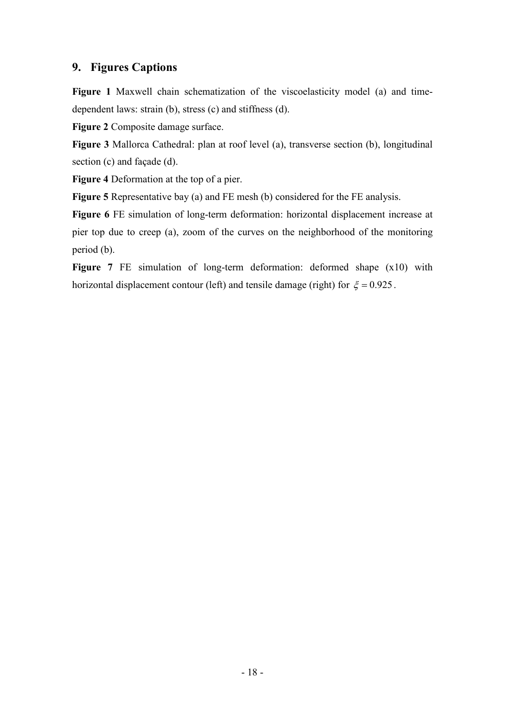# **9. Figures Captions**

**Figure 1** Maxwell chain schematization of the viscoelasticity model (a) and timedependent laws: strain (b), stress (c) and stiffness (d).

**Figure 2** Composite damage surface.

**Figure 3** Mallorca Cathedral: plan at roof level (a), transverse section (b), longitudinal section (c) and façade (d).

**Figure 4** Deformation at the top of a pier.

**Figure 5** Representative bay (a) and FE mesh (b) considered for the FE analysis.

**Figure 6** FE simulation of long-term deformation: horizontal displacement increase at pier top due to creep (a), zoom of the curves on the neighborhood of the monitoring period (b).

**Figure 7** FE simulation of long-term deformation: deformed shape (x10) with horizontal displacement contour (left) and tensile damage (right) for  $\xi = 0.925$ .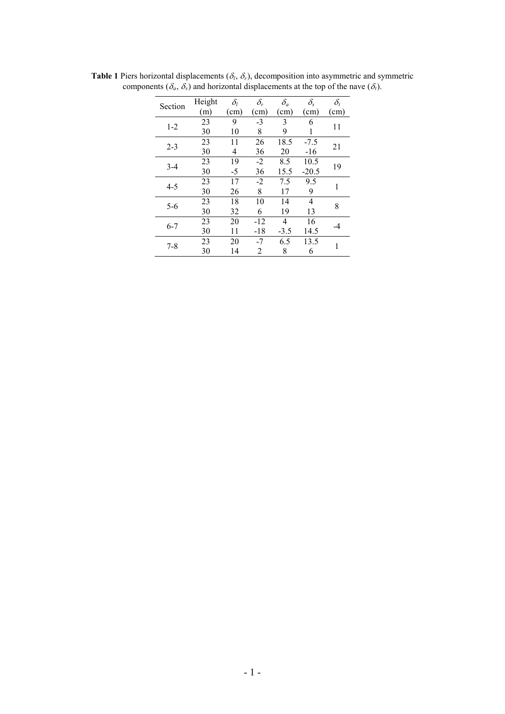| Section | Height | $\delta_{l}$ | $\delta_r$ | $\delta_a$ | $\delta_{\rm s}$ | $\delta_t$ |  |
|---------|--------|--------------|------------|------------|------------------|------------|--|
|         | (m)    | (cm)         | (cm)       | (cm)       | (cm)             | (cm)       |  |
| $1-2$   | 23     | 9            | $-3$       | 3          | 6                | 11         |  |
|         | 30     | 10           | 8          | 9          |                  |            |  |
| $2 - 3$ | 23     | 11           | 26         | 18.5       | $-7.5$           | 21         |  |
|         | 30     | 4            | 36         | 20         | $-16$            |            |  |
| $3-4$   | 23     | 19           | $-2$       | 8.5        | 10.5             | 19         |  |
|         | 30     | -5           | 36         | 15.5       | $-20.5$          |            |  |
| $4 - 5$ | 23     | 17           | $-2$       | 7.5        | 9.5              | 1          |  |
|         | 30     | 26           | 8          | 17         | 9                |            |  |
| $5 - 6$ | 23     | 18           | 10         | 14         | 4                | 8          |  |
|         | 30     | 32           | 6          | 19         | 13               |            |  |
| $6 - 7$ | 23     | 20           | $-12$      | 4          | 16               |            |  |
|         | 30     | 11           | $-18$      | $-3.5$     | 14.5             |            |  |
| $7 - 8$ | 23     | 20           | $-7$       | 6.5        | 13.5             | 1          |  |
|         | 30     | 14           | 2          | 8          | 6                |            |  |

**Table 1** Piers horizontal displacements ( $\delta_l$ ,  $\delta_r$ ), decomposition into asymmetric and symmetric components ( $\delta_a$ ,  $\delta_s$ ) and horizontal displacements at the top of the nave ( $\delta_t$ ).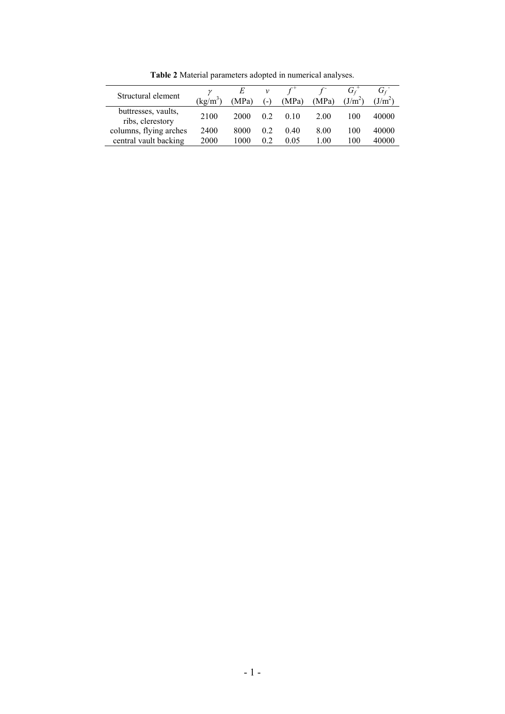| Structural element                      | ν<br>$\text{kg/m}^3$ | E<br>(MPa) | ν<br>$\left( - \right)$ | (MPa) | (MPa) | (J/m <sup>2</sup> ) | $\mathbf{U}$ f<br>$(J/m^2)$ |
|-----------------------------------------|----------------------|------------|-------------------------|-------|-------|---------------------|-----------------------------|
| buttresses, vaults,<br>ribs, clerestory | 2100                 | 2000       | 02                      | 010   | 2.00  | 100                 | 40000                       |
| columns, flying arches                  | 2400                 | 8000       | 02                      | 0.40  | 8.00  | 100                 | 40000                       |
| central vault backing                   | 2000                 | 1000       | 02                      | 0.05  | 1.00  | 100                 | 40000                       |

**Table 2** Material parameters adopted in numerical analyses.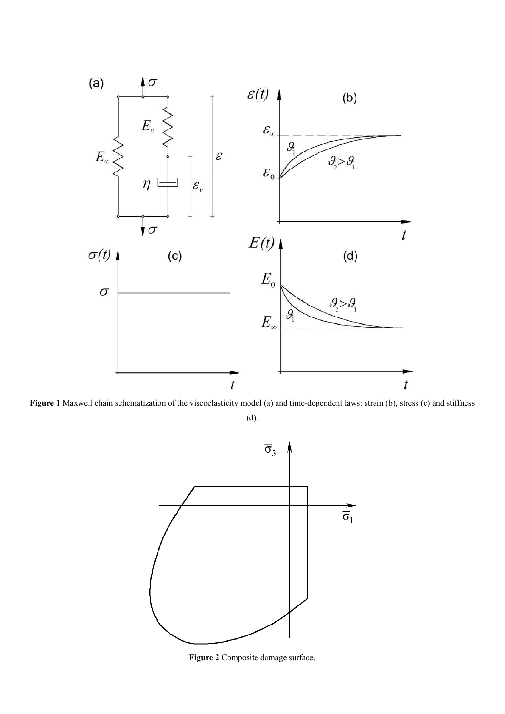

**Figure 1** Maxwell chain schematization of the viscoelasticity model (a) and time-dependent laws: strain (b), stress (c) and stiffness

(d).



**Figure 2** Composite damage surface.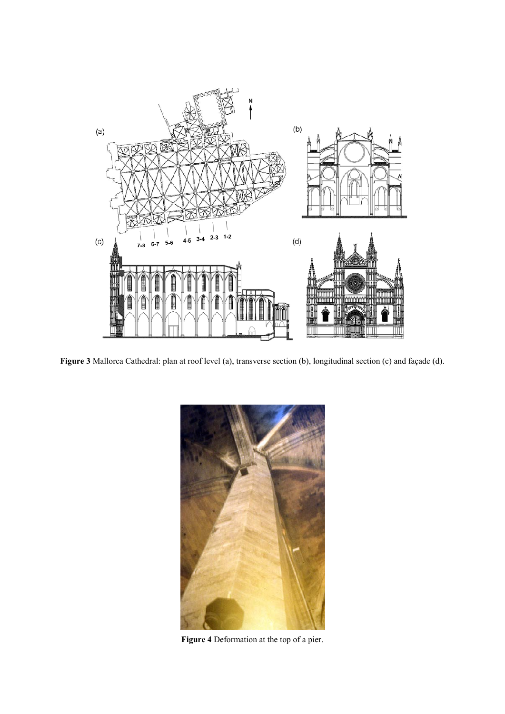

**Figure 3** Mallorca Cathedral: plan at roof level (a), transverse section (b), longitudinal section (c) and façade (d).



**Figure 4** Deformation at the top of a pier.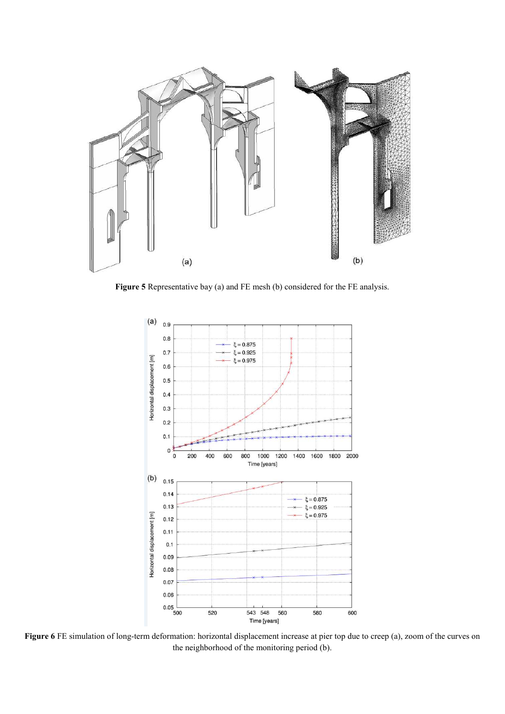

**Figure 5** Representative bay (a) and FE mesh (b) considered for the FE analysis.



**Figure 6** FE simulation of long-term deformation: horizontal displacement increase at pier top due to creep (a), zoom of the curves on the neighborhood of the monitoring period (b).